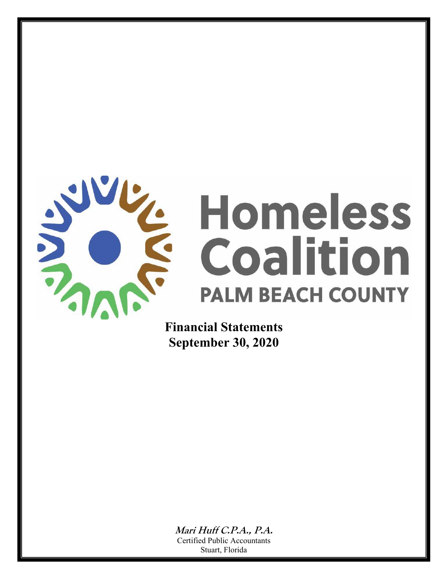

# **Homeless**<br>Coalition **PALM BEACH COUNTY**

**Financial Statements September 30, 2020**

**Mari Huff C.P.A., P.A.**  Certified Public Accountants Stuart, Florida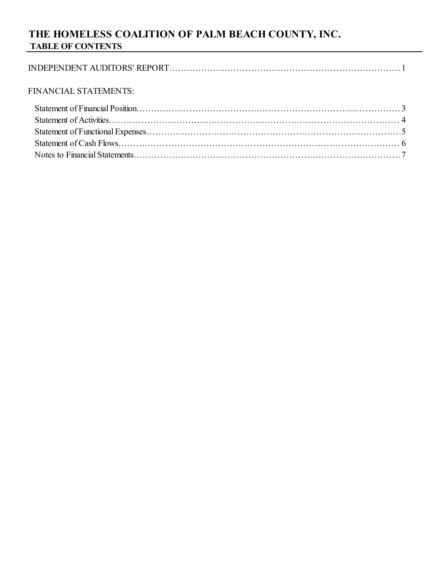# **THE HOMELESS COALITION OF PALM BEACH COUNTY, INC. TABLE OF CONTENTS**

# FINANCIAL STATEMENTS: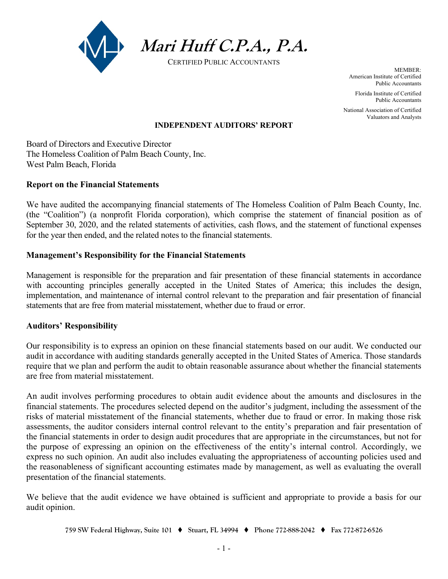

MEMBER: American Institute of Certified Public Accountants

Florida Institute of Certified Public Accountants

National Association of Certified Valuators and Analysts

#### **INDEPENDENT AUDITORS' REPORT**

Board of Directors and Executive Director The Homeless Coalition of Palm Beach County, Inc. West Palm Beach, Florida

#### **Report on the Financial Statements**

We have audited the accompanying financial statements of The Homeless Coalition of Palm Beach County, Inc. (the "Coalition") (a nonprofit Florida corporation), which comprise the statement of financial position as of September 30, 2020, and the related statements of activities, cash flows, and the statement of functional expenses for the year then ended, and the related notes to the financial statements.

#### **Management's Responsibility for the Financial Statements**

Management is responsible for the preparation and fair presentation of these financial statements in accordance with accounting principles generally accepted in the United States of America; this includes the design, implementation, and maintenance of internal control relevant to the preparation and fair presentation of financial statements that are free from material misstatement, whether due to fraud or error.

#### **Auditors' Responsibility**

Our responsibility is to express an opinion on these financial statements based on our audit. We conducted our audit in accordance with auditing standards generally accepted in the United States of America. Those standards require that we plan and perform the audit to obtain reasonable assurance about whether the financial statements are free from material misstatement.

An audit involves performing procedures to obtain audit evidence about the amounts and disclosures in the financial statements. The procedures selected depend on the auditor's judgment, including the assessment of the risks of material misstatement of the financial statements, whether due to fraud or error. In making those risk assessments, the auditor considers internal control relevant to the entity's preparation and fair presentation of the financial statements in order to design audit procedures that are appropriate in the circumstances, but not for the purpose of expressing an opinion on the effectiveness of the entity's internal control. Accordingly, we express no such opinion. An audit also includes evaluating the appropriateness of accounting policies used and the reasonableness of significant accounting estimates made by management, as well as evaluating the overall presentation of the financial statements.

We believe that the audit evidence we have obtained is sufficient and appropriate to provide a basis for our audit opinion.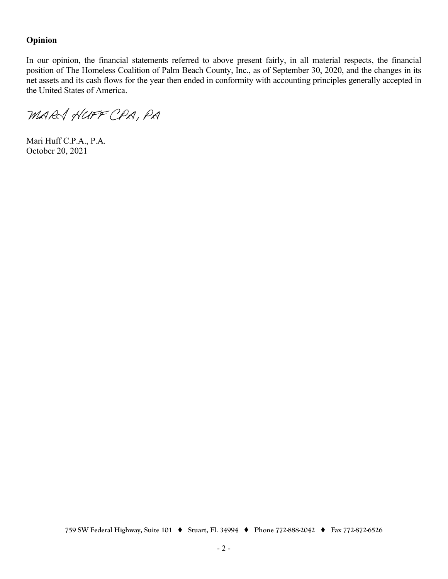#### **Opinion**

In our opinion, the financial statements referred to above present fairly, in all material respects, the financial position of The Homeless Coalition of Palm Beach County, Inc., as of September 30, 2020, and the changes in its net assets and its cash flows for the year then ended in conformity with accounting principles generally accepted in the United States of America.

MARS HUFF CPA, PA

Mari Huff C.P.A., P.A. October 20, 2021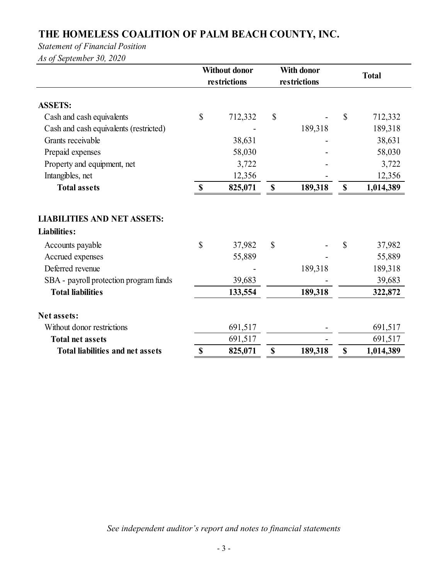*Statement of Financial Position*

*As of September 30, 2020*

|                                                           | <b>Without donor</b><br>restrictions |         | With donor<br>restrictions |         |                           | <b>Total</b> |
|-----------------------------------------------------------|--------------------------------------|---------|----------------------------|---------|---------------------------|--------------|
| <b>ASSETS:</b>                                            |                                      |         |                            |         |                           |              |
| Cash and cash equivalents                                 | \$                                   | 712,332 | \$                         |         | $\mathbb{S}$              | 712,332      |
| Cash and cash equivalents (restricted)                    |                                      |         |                            | 189,318 |                           | 189,318      |
| Grants receivable                                         |                                      | 38,631  |                            |         |                           | 38,631       |
| Prepaid expenses                                          |                                      | 58,030  |                            |         |                           | 58,030       |
| Property and equipment, net                               |                                      | 3,722   |                            |         |                           | 3,722        |
| Intangibles, net                                          |                                      | 12,356  |                            |         |                           | 12,356       |
| <b>Total assets</b>                                       | <sup>\$</sup>                        | 825,071 | $\boldsymbol{\mathsf{S}}$  | 189,318 | $\boldsymbol{\mathsf{S}}$ | 1,014,389    |
| <b>LIABILITIES AND NET ASSETS:</b><br><b>Liabilities:</b> |                                      |         |                            |         |                           |              |
| Accounts payable                                          | \$                                   | 37,982  | \$                         |         | $\mathbb{S}$              | 37,982       |
| Accrued expenses                                          |                                      | 55,889  |                            |         |                           | 55,889       |
| Deferred revenue                                          |                                      |         |                            | 189,318 |                           | 189,318      |
| SBA - payroll protection program funds                    |                                      | 39,683  |                            |         |                           | 39,683       |
| <b>Total liabilities</b>                                  |                                      | 133,554 |                            | 189,318 |                           | 322,872      |
| Net assets:                                               |                                      |         |                            |         |                           |              |
| Without donor restrictions                                | 691,517                              |         |                            |         |                           | 691,517      |
| <b>Total net assets</b>                                   |                                      | 691,517 |                            |         |                           | 691,517      |
| <b>Total liabilities and net assets</b>                   | \$                                   | 825,071 | \$                         | 189,318 | $\boldsymbol{\mathsf{S}}$ | 1,014,389    |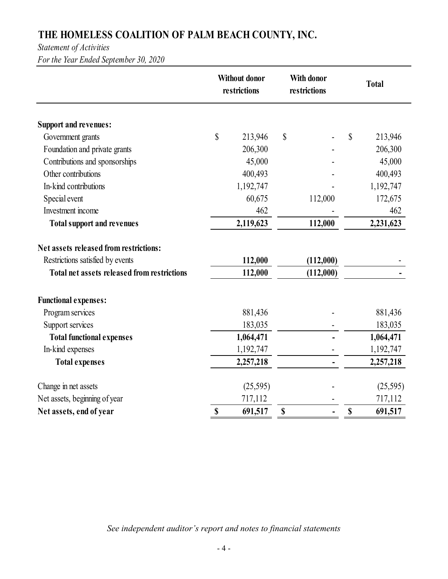*Statement of Activities*

*For the Year Ended September 30, 2020*

|                                                                                                                                  | Without donor<br>restrictions |    | With donor<br>restrictions |                   | <b>Total</b> |
|----------------------------------------------------------------------------------------------------------------------------------|-------------------------------|----|----------------------------|-------------------|--------------|
| <b>Support and revenues:</b>                                                                                                     |                               |    |                            |                   |              |
| Government grants                                                                                                                | \$<br>213,946                 | \$ |                            | \$                | 213,946      |
| Foundation and private grants                                                                                                    | 206,300                       |    |                            |                   | 206,300      |
| Contributions and sponsorships                                                                                                   | 45,000                        |    |                            |                   | 45,000       |
| Other contributions                                                                                                              | 400,493                       |    |                            |                   | 400,493      |
| In-kind contributions                                                                                                            | 1,192,747                     |    |                            |                   | 1,192,747    |
| Special event                                                                                                                    | 60,675                        |    | 112,000                    |                   | 172,675      |
| Investment income                                                                                                                | 462                           |    |                            |                   | 462          |
| <b>Total support and revenues</b>                                                                                                | 2,119,623                     |    | 112,000                    |                   | 2,231,623    |
| Net assets released from restrictions:<br>Restrictions satisfied by events<br><b>Total net assets released from restrictions</b> | 112,000<br>112,000            |    | (112,000)<br>(112,000)     |                   |              |
| <b>Functional expenses:</b>                                                                                                      |                               |    |                            |                   |              |
| Program services                                                                                                                 | 881,436                       |    |                            |                   | 881,436      |
| Support services                                                                                                                 | 183,035                       |    |                            |                   | 183,035      |
| <b>Total functional expenses</b>                                                                                                 | 1,064,471                     |    |                            |                   | 1,064,471    |
| In-kind expenses                                                                                                                 | 1,192,747                     |    |                            |                   | 1,192,747    |
| <b>Total expenses</b>                                                                                                            | 2,257,218                     |    |                            |                   | 2,257,218    |
| Change in net assets                                                                                                             | (25,595)                      |    |                            |                   | (25,595)     |
| Net assets, beginning of year                                                                                                    | 717,112                       |    |                            |                   | 717,112      |
| Net assets, end of year                                                                                                          | \$<br>691,517                 | \$ |                            | $\boldsymbol{\S}$ | 691,517      |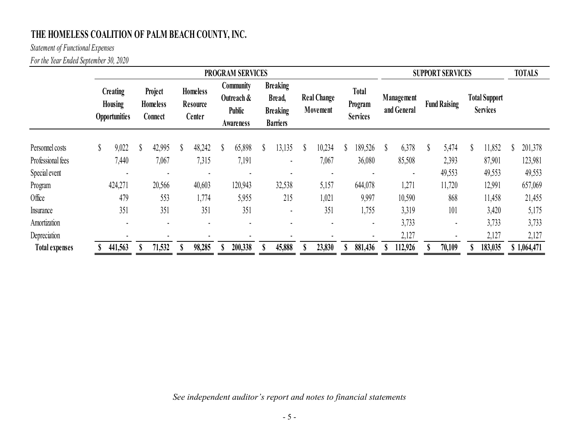# *Statement of Functional Expenses*

*For the Year Ended September 30, 2020*

|                       |   | <b>PROGRAM SERVICES</b>                            |  |                                       |   |                                              |    |                                                       |   |                                                                 |               |                                |               |                                            |                   | <b>TOTALS</b>             |   |                     |                                         |             |
|-----------------------|---|----------------------------------------------------|--|---------------------------------------|---|----------------------------------------------|----|-------------------------------------------------------|---|-----------------------------------------------------------------|---------------|--------------------------------|---------------|--------------------------------------------|-------------------|---------------------------|---|---------------------|-----------------------------------------|-------------|
|                       |   | <b>Creating</b><br>Housing<br><b>Opportunities</b> |  | Project<br><b>Homeless</b><br>Connect |   | <b>Homeless</b><br><b>Resource</b><br>Center |    | Community<br>Outreach &<br><b>Public</b><br>Awareness |   | <b>Breaking</b><br>Bread,<br><b>Breaking</b><br><b>Barriers</b> |               | <b>Real Change</b><br>Movement |               | <b>Total</b><br>Program<br><b>Services</b> |                   | Management<br>and General |   | <b>Fund Raising</b> | <b>Total Support</b><br><b>Services</b> |             |
| Personnel costs       | J | 9,022                                              |  | 42,995                                | S | 48,242                                       | Y. | 65,898                                                | S | 13,135                                                          | <sup>\$</sup> | 10,234                         | <sup>\$</sup> | 189,526                                    | $\boldsymbol{\S}$ | 6,378                     | S | 5,474               | 11,852                                  | 201,378     |
| Professional fees     |   | 7,440                                              |  | 7,067                                 |   | 7,315                                        |    | 7,191                                                 |   | $\overline{\phantom{a}}$                                        |               | 7,067                          |               | 36,080                                     |                   | 85,508                    |   | 2,393               | 87,901                                  | 123,981     |
| Special event         |   |                                                    |  |                                       |   |                                              |    |                                                       |   | $\blacksquare$                                                  |               | $\blacksquare$                 |               | $\blacksquare$                             |                   |                           |   | 49,553              | 49,553                                  | 49,553      |
| Program               |   | 424,271                                            |  | 20,566                                |   | 40,603                                       |    | 120,943                                               |   | 32,538                                                          |               | 5,157                          |               | 644,078                                    |                   | 1,271                     |   | 11,720              | 12,991                                  | 657,069     |
| Office                |   | 479                                                |  | 553                                   |   | 1,774                                        |    | 5,955                                                 |   | 215                                                             |               | 1,021                          |               | 9,997                                      |                   | 10,590                    |   | 868                 | 11,458                                  | 21,455      |
| Insurance             |   | 351                                                |  | 351                                   |   | 351                                          |    | 351                                                   |   |                                                                 |               | 351                            |               | 1,755                                      |                   | 3,319                     |   | 101                 | 3,420                                   | 5,175       |
| Amortization          |   |                                                    |  |                                       |   |                                              |    |                                                       |   |                                                                 |               |                                |               | $\blacksquare$                             |                   | 3,733                     |   |                     | 3,733                                   | 3,733       |
| Depreciation          |   |                                                    |  |                                       |   |                                              |    |                                                       |   |                                                                 |               |                                |               | $\blacksquare$                             |                   | 2,127                     |   |                     | 2,127                                   | 2,127       |
| <b>Total expenses</b> |   | 441,563                                            |  | 71,532                                |   | 98,285                                       |    | 200,338                                               |   | 45,888                                                          |               | 23,830                         | Y             | 881,436                                    | \$                | 112,926                   |   | 70,109              | 183,035                                 | \$1,064,471 |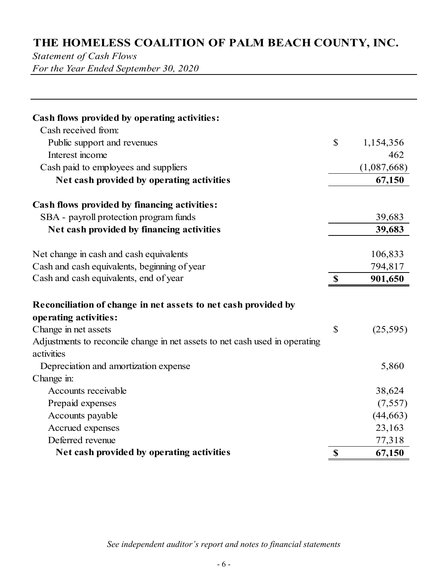*Statement of Cash Flows For the Year Ended September 30, 2020*

| Cash flows provided by operating activities:                                |                           |             |
|-----------------------------------------------------------------------------|---------------------------|-------------|
| Cash received from:                                                         |                           |             |
| Public support and revenues                                                 | \$                        | 1,154,356   |
| Interest income                                                             |                           | 462         |
| Cash paid to employees and suppliers                                        |                           | (1,087,668) |
| Net cash provided by operating activities                                   |                           | 67,150      |
| <b>Cash flows provided by financing activities:</b>                         |                           |             |
| SBA - payroll protection program funds                                      |                           | 39,683      |
| Net cash provided by financing activities                                   |                           | 39,683      |
| Net change in cash and cash equivalents                                     |                           | 106,833     |
| Cash and cash equivalents, beginning of year                                |                           | 794,817     |
| Cash and cash equivalents, end of year                                      | $\boldsymbol{\mathsf{S}}$ | 901,650     |
| Reconciliation of change in net assets to net cash provided by              |                           |             |
| operating activities:                                                       |                           |             |
| Change in net assets                                                        | \$                        | (25, 595)   |
| Adjustments to reconcile change in net assets to net cash used in operating |                           |             |
| activities                                                                  |                           |             |
| Depreciation and amortization expense                                       |                           | 5,860       |
| Change in:                                                                  |                           |             |
| Accounts receivable                                                         |                           | 38,624      |
| Prepaid expenses                                                            |                           | (7, 557)    |
| Accounts payable                                                            |                           | (44, 663)   |
| Accrued expenses                                                            |                           | 23,163      |
| Deferred revenue                                                            |                           | 77,318      |
| Net cash provided by operating activities                                   | $\boldsymbol{\mathsf{S}}$ | 67,150      |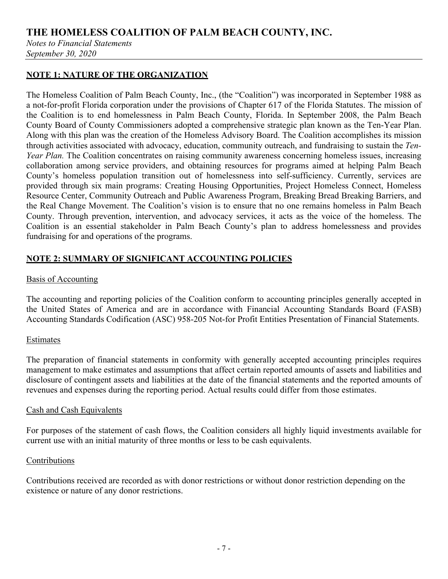# **NOTE 1: NATURE OF THE ORGANIZATION**

The Homeless Coalition of Palm Beach County, Inc., (the "Coalition") was incorporated in September 1988 as a not-for-profit Florida corporation under the provisions of Chapter 617 of the Florida Statutes. The mission of the Coalition is to end homelessness in Palm Beach County, Florida. In September 2008, the Palm Beach County Board of County Commissioners adopted a comprehensive strategic plan known as the Ten-Year Plan. Along with this plan was the creation of the Homeless Advisory Board. The Coalition accomplishes its mission through activities associated with advocacy, education, community outreach, and fundraising to sustain the *Ten-Year Plan.* The Coalition concentrates on raising community awareness concerning homeless issues, increasing collaboration among service providers, and obtaining resources for programs aimed at helping Palm Beach County's homeless population transition out of homelessness into self-sufficiency. Currently, services are provided through six main programs: Creating Housing Opportunities, Project Homeless Connect, Homeless Resource Center, Community Outreach and Public Awareness Program, Breaking Bread Breaking Barriers, and the Real Change Movement. The Coalition's vision is to ensure that no one remains homeless in Palm Beach County. Through prevention, intervention, and advocacy services, it acts as the voice of the homeless. The Coalition is an essential stakeholder in Palm Beach County's plan to address homelessness and provides fundraising for and operations of the programs.

# **NOTE 2: SUMMARY OF SIGNIFICANT ACCOUNTING POLICIES**

## Basis of Accounting

The accounting and reporting policies of the Coalition conform to accounting principles generally accepted in the United States of America and are in accordance with Financial Accounting Standards Board (FASB) Accounting Standards Codification (ASC) 958-205 Not-for Profit Entities Presentation of Financial Statements.

#### Estimates

The preparation of financial statements in conformity with generally accepted accounting principles requires management to make estimates and assumptions that affect certain reported amounts of assets and liabilities and disclosure of contingent assets and liabilities at the date of the financial statements and the reported amounts of revenues and expenses during the reporting period. Actual results could differ from those estimates.

#### Cash and Cash Equivalents

For purposes of the statement of cash flows, the Coalition considers all highly liquid investments available for current use with an initial maturity of three months or less to be cash equivalents.

#### Contributions

Contributions received are recorded as with donor restrictions or without donor restriction depending on the existence or nature of any donor restrictions.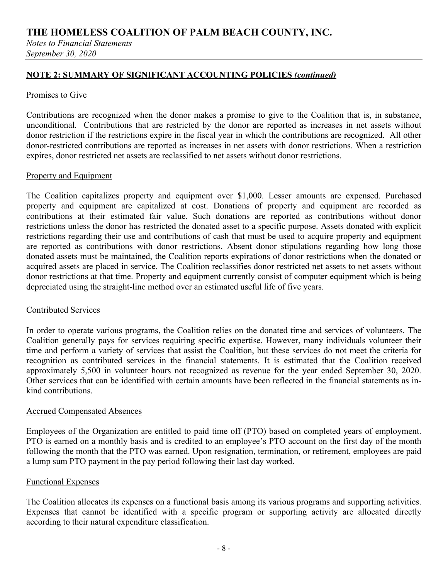## **NOTE 2: SUMMARY OF SIGNIFICANT ACCOUNTING POLICIES** *(continued)*

#### Promises to Give

Contributions are recognized when the donor makes a promise to give to the Coalition that is, in substance, unconditional. Contributions that are restricted by the donor are reported as increases in net assets without donor restriction if the restrictions expire in the fiscal year in which the contributions are recognized. All other donor-restricted contributions are reported as increases in net assets with donor restrictions. When a restriction expires, donor restricted net assets are reclassified to net assets without donor restrictions.

#### Property and Equipment

The Coalition capitalizes property and equipment over \$1,000. Lesser amounts are expensed. Purchased property and equipment are capitalized at cost. Donations of property and equipment are recorded as contributions at their estimated fair value. Such donations are reported as contributions without donor restrictions unless the donor has restricted the donated asset to a specific purpose. Assets donated with explicit restrictions regarding their use and contributions of cash that must be used to acquire property and equipment are reported as contributions with donor restrictions. Absent donor stipulations regarding how long those donated assets must be maintained, the Coalition reports expirations of donor restrictions when the donated or acquired assets are placed in service. The Coalition reclassifies donor restricted net assets to net assets without donor restrictions at that time. Property and equipment currently consist of computer equipment which is being depreciated using the straight-line method over an estimated useful life of five years.

#### Contributed Services

In order to operate various programs, the Coalition relies on the donated time and services of volunteers. The Coalition generally pays for services requiring specific expertise. However, many individuals volunteer their time and perform a variety of services that assist the Coalition, but these services do not meet the criteria for recognition as contributed services in the financial statements. It is estimated that the Coalition received approximately 5,500 in volunteer hours not recognized as revenue for the year ended September 30, 2020. Other services that can be identified with certain amounts have been reflected in the financial statements as inkind contributions.

#### Accrued Compensated Absences

Employees of the Organization are entitled to paid time off (PTO) based on completed years of employment. PTO is earned on a monthly basis and is credited to an employee's PTO account on the first day of the month following the month that the PTO was earned. Upon resignation, termination, or retirement, employees are paid a lump sum PTO payment in the pay period following their last day worked.

#### Functional Expenses

The Coalition allocates its expenses on a functional basis among its various programs and supporting activities. Expenses that cannot be identified with a specific program or supporting activity are allocated directly according to their natural expenditure classification.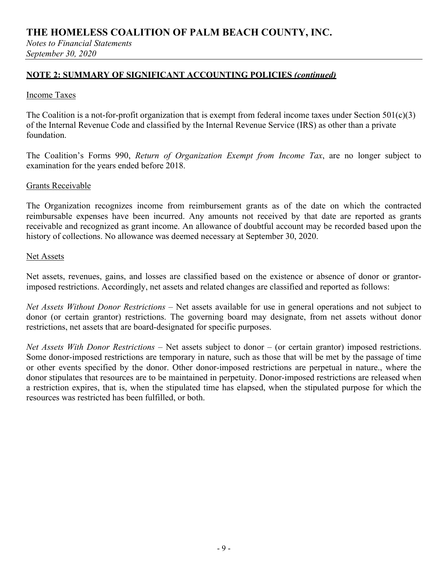# **NOTE 2: SUMMARY OF SIGNIFICANT ACCOUNTING POLICIES** *(continued)*

#### Income Taxes

The Coalition is a not-for-profit organization that is exempt from federal income taxes under Section 501(c)(3) of the Internal Revenue Code and classified by the Internal Revenue Service (IRS) as other than a private foundation.

The Coalition's Forms 990, *Return of Organization Exempt from Income Tax*, are no longer subject to examination for the years ended before 2018.

#### Grants Receivable

The Organization recognizes income from reimbursement grants as of the date on which the contracted reimbursable expenses have been incurred. Any amounts not received by that date are reported as grants receivable and recognized as grant income. An allowance of doubtful account may be recorded based upon the history of collections. No allowance was deemed necessary at September 30, 2020.

#### Net Assets

Net assets, revenues, gains, and losses are classified based on the existence or absence of donor or grantorimposed restrictions. Accordingly, net assets and related changes are classified and reported as follows:

*Net Assets Without Donor Restrictions* – Net assets available for use in general operations and not subject to donor (or certain grantor) restrictions. The governing board may designate, from net assets without donor restrictions, net assets that are board-designated for specific purposes.

*Net Assets With Donor Restrictions* – Net assets subject to donor – (or certain grantor) imposed restrictions. Some donor-imposed restrictions are temporary in nature, such as those that will be met by the passage of time or other events specified by the donor. Other donor-imposed restrictions are perpetual in nature., where the donor stipulates that resources are to be maintained in perpetuity. Donor-imposed restrictions are released when a restriction expires, that is, when the stipulated time has elapsed, when the stipulated purpose for which the resources was restricted has been fulfilled, or both.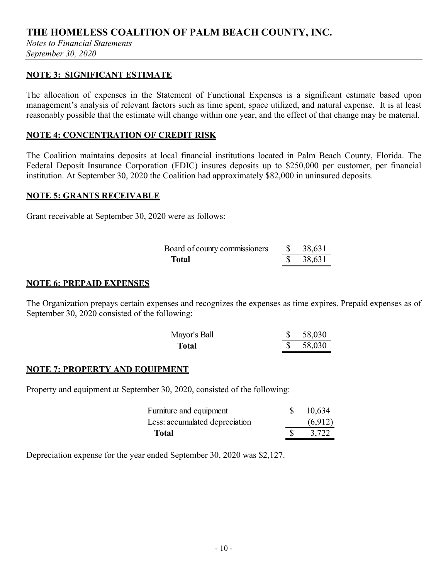*Notes to Financial Statements September 30, 2020* 

#### **NOTE 3: SIGNIFICANT ESTIMATE**

The allocation of expenses in the Statement of Functional Expenses is a significant estimate based upon management's analysis of relevant factors such as time spent, space utilized, and natural expense. It is at least reasonably possible that the estimate will change within one year, and the effect of that change may be material.

#### **NOTE 4: CONCENTRATION OF CREDIT RISK**

The Coalition maintains deposits at local financial institutions located in Palm Beach County, Florida. The Federal Deposit Insurance Corporation (FDIC) insures deposits up to \$250,000 per customer, per financial institution. At September 30, 2020 the Coalition had approximately \$82,000 in uninsured deposits.

#### **NOTE 5: GRANTS RECEIVABLE**

Grant receivable at September 30, 2020 were as follows:

| Board of county commissioners | \$38,631 |
|-------------------------------|----------|
| <b>Total</b>                  | \$38,631 |

#### **NOTE 6: PREPAID EXPENSES**

The Organization prepays certain expenses and recognizes the expenses as time expires. Prepaid expenses as of September 30, 2020 consisted of the following:

| Mayor's Ball | 58,030 |
|--------------|--------|
| Total        | 58,030 |

#### **NOTE 7: PROPERTY AND EQUIPMENT**

Property and equipment at September 30, 2020, consisted of the following:

| Furniture and equipment        | 10,634  |
|--------------------------------|---------|
| Less: accumulated depreciation | (6,912) |
| <b>Total</b>                   | 3.722   |

Depreciation expense for the year ended September 30, 2020 was \$2,127.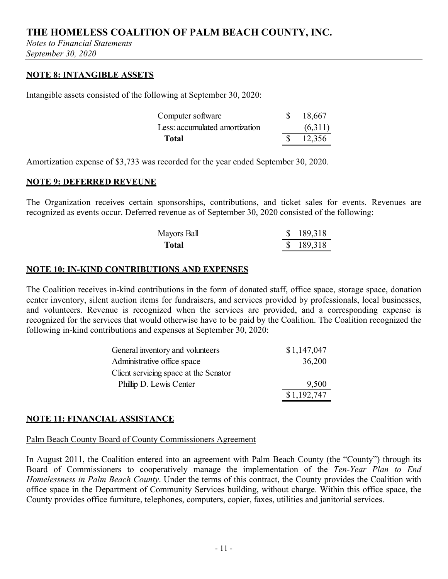*Notes to Financial Statements September 30, 2020* 

#### **NOTE 8: INTANGIBLE ASSETS**

Intangible assets consisted of the following at September 30, 2020:

| Computer software              | 18,667  |
|--------------------------------|---------|
| Less: accumulated amortization | (6,311) |
| Total                          | 12,356  |

Amortization expense of \$3,733 was recorded for the year ended September 30, 2020.

#### **NOTE 9: DEFERRED REVEUNE**

The Organization receives certain sponsorships, contributions, and ticket sales for events. Revenues are recognized as events occur. Deferred revenue as of September 30, 2020 consisted of the following:

| Mayors Ball  | \$189,318 |
|--------------|-----------|
| <b>Total</b> | \$189,318 |

#### **NOTE 10: IN-KIND CONTRIBUTIONS AND EXPENSES**

The Coalition receives in-kind contributions in the form of donated staff, office space, storage space, donation center inventory, silent auction items for fundraisers, and services provided by professionals, local businesses, and volunteers. Revenue is recognized when the services are provided, and a corresponding expense is recognized for the services that would otherwise have to be paid by the Coalition. The Coalition recognized the following in-kind contributions and expenses at September 30, 2020:

| General inventory and volunteers      | \$1,147,047 |
|---------------------------------------|-------------|
| Administrative office space           | 36,200      |
| Client servicing space at the Senator |             |
| Phillip D. Lewis Center               | 9,500       |
|                                       | \$1,192,747 |

#### **NOTE 11: FINANCIAL ASSISTANCE**

Palm Beach County Board of County Commissioners Agreement

In August 2011, the Coalition entered into an agreement with Palm Beach County (the "County") through its Board of Commissioners to cooperatively manage the implementation of the *Ten-Year Plan to End Homelessness in Palm Beach County*. Under the terms of this contract, the County provides the Coalition with office space in the Department of Community Services building, without charge. Within this office space, the County provides office furniture, telephones, computers, copier, faxes, utilities and janitorial services.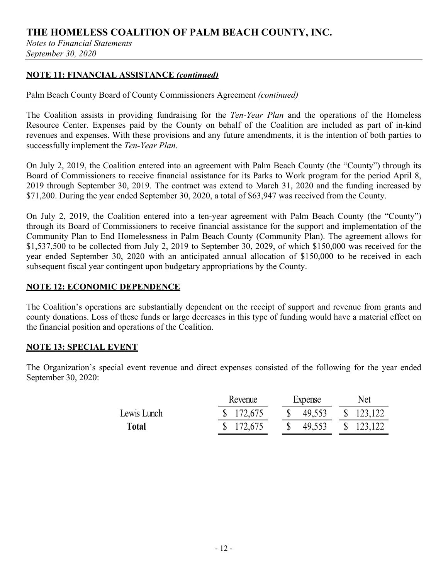## **NOTE 11: FINANCIAL ASSISTANCE** *(continued)*

#### Palm Beach County Board of County Commissioners Agreement *(continued)*

The Coalition assists in providing fundraising for the *Ten-Year Plan* and the operations of the Homeless Resource Center. Expenses paid by the County on behalf of the Coalition are included as part of in-kind revenues and expenses. With these provisions and any future amendments, it is the intention of both parties to successfully implement the *Ten-Year Plan*.

On July 2, 2019, the Coalition entered into an agreement with Palm Beach County (the "County") through its Board of Commissioners to receive financial assistance for its Parks to Work program for the period April 8, 2019 through September 30, 2019. The contract was extend to March 31, 2020 and the funding increased by \$71,200. During the year ended September 30, 2020, a total of \$63,947 was received from the County.

On July 2, 2019, the Coalition entered into a ten-year agreement with Palm Beach County (the "County") through its Board of Commissioners to receive financial assistance for the support and implementation of the Community Plan to End Homelessness in Palm Beach County (Community Plan). The agreement allows for \$1,537,500 to be collected from July 2, 2019 to September 30, 2029, of which \$150,000 was received for the year ended September 30, 2020 with an anticipated annual allocation of \$150,000 to be received in each subsequent fiscal year contingent upon budgetary appropriations by the County.

## **NOTE 12: ECONOMIC DEPENDENCE**

The Coalition's operations are substantially dependent on the receipt of support and revenue from grants and county donations. Loss of these funds or large decreases in this type of funding would have a material effect on the financial position and operations of the Coalition.

#### **NOTE 13: SPECIAL EVENT**

The Organization's special event revenue and direct expenses consisted of the following for the year ended September 30, 2020:

|             | Revenue   | Expense | Net                 |
|-------------|-----------|---------|---------------------|
| Lewis Lunch | \$172,675 | 49,553  | $\frac{123,122}{2}$ |
| Total       | \$172,675 | 49,553  | \$ 123,122          |